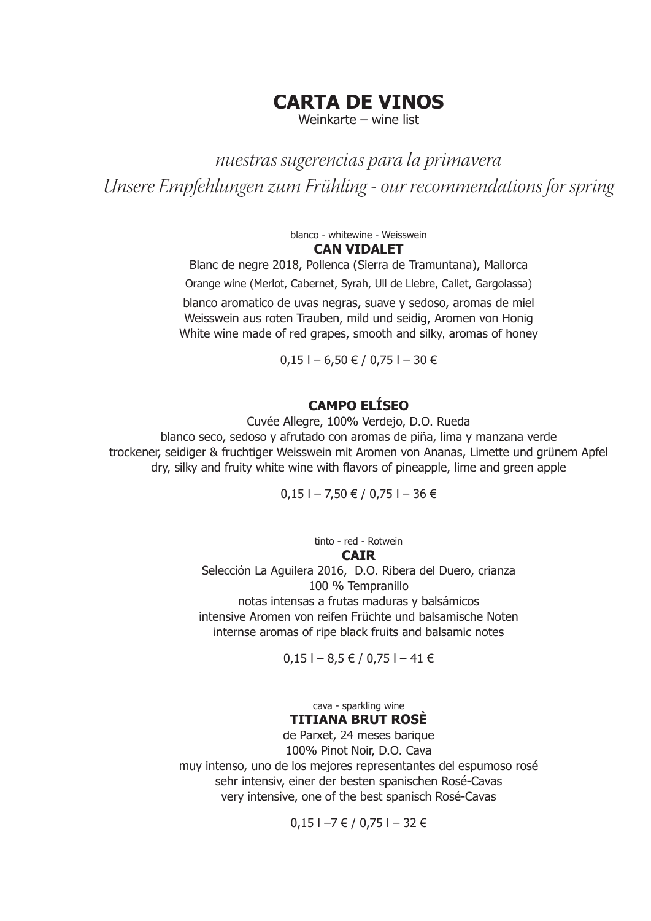## **CARTA DE VINOS**

Weinkarte – wine list

*nuestras sugerencias para la primavera Unsere Empfehlungen zum Frühling - our recommendations for spring*

blanco - whitewine - Weisswein

#### **CAN VIDALET**

Blanc de negre 2018, Pollenca (Sierra de Tramuntana), Mallorca Orange wine (Merlot, Cabernet, Syrah, Ull de Llebre, Callet, Gargolassa)

blanco aromatico de uvas negras, suave y sedoso, aromas de miel Weisswein aus roten Trauben, mild und seidig, Aromen von Honig White wine made of red grapes, smooth and silky, aromas of honey

 $0.15$  | − 6.50 € / 0.75 | − 30 €

### **CAMPO ELÍSEO**

Cuvée Allegre, 100% Verdejo, D.O. Rueda blanco seco, sedoso y afrutado con aromas de piña, lima y manzana verde trockener, seidiger & fruchtiger Weisswein mit Aromen von Ananas, Limette und grünem Apfel dry, silky and fruity white wine with flavors of pineapple, lime and green apple

 $0,15$  l − 7,50 € / 0,75 l − 36 €

tinto - red - Rotwein **CAIR** Selección La Aguilera 2016, D.O. Ribera del Duero, crianza 100 % Tempranillo notas intensas a frutas maduras y balsámicos intensive Aromen von reifen Früchte und balsamische Noten internse aromas of ripe black fruits and balsamic notes

 $0,15$  l − 8,5 € / 0,75 l − 41 €

cava - sparkling wine **TITIANA BRUT ROSÈ**

de Parxet, 24 meses barique 100% Pinot Noir, D.O. Cava muy intenso, uno de los mejores representantes del espumoso rosé sehr intensiv, einer der besten spanischen Rosé-Cavas very intensive, one of the best spanisch Rosé-Cavas

 $0,15$  |  $-7 \notin 7$  0,75 |  $-32 \notin$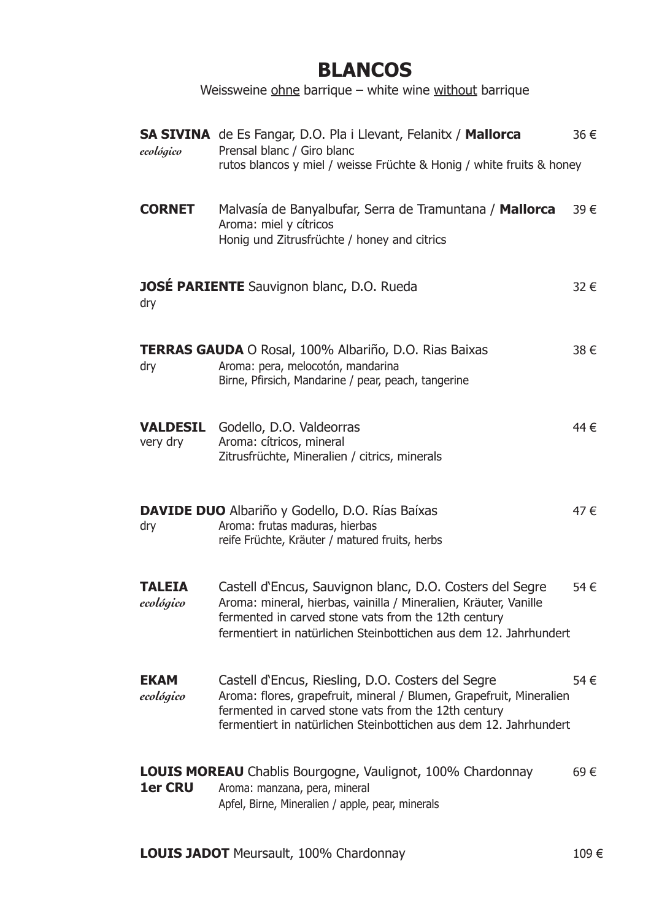# **BLANCOS**

Weissweine ohne barrique – white wine without barrique

| ecológico                   | <b>SA SIVINA</b> de Es Fangar, D.O. Pla i Llevant, Felanitx / Mallorca<br>Prensal blanc / Giro blanc<br>rutos blancos y miel / weisse Früchte & Honig / white fruits & honey                                                                              | 36 € |
|-----------------------------|-----------------------------------------------------------------------------------------------------------------------------------------------------------------------------------------------------------------------------------------------------------|------|
| <b>CORNET</b>               | Malvasía de Banyalbufar, Serra de Tramuntana / Mallorca<br>Aroma: miel y cítricos<br>Honig und Zitrusfrüchte / honey and citrics                                                                                                                          | 39€  |
| dry                         | <b>JOSÉ PARIENTE</b> Sauvignon blanc, D.O. Rueda                                                                                                                                                                                                          | 32 € |
| dry                         | <b>TERRAS GAUDA</b> O Rosal, 100% Albariño, D.O. Rias Baixas<br>Aroma: pera, melocotón, mandarina<br>Birne, Pfirsich, Mandarine / pear, peach, tangerine                                                                                                  | 38 € |
| <b>VALDESIL</b><br>very dry | Godello, D.O. Valdeorras<br>Aroma: cítricos, mineral<br>Zitrusfrüchte, Mineralien / citrics, minerals                                                                                                                                                     | 44 € |
| dry                         | <b>DAVIDE DUO</b> Albariño y Godello, D.O. Rías Baíxas<br>Aroma: frutas maduras, hierbas<br>reife Früchte, Kräuter / matured fruits, herbs                                                                                                                | 47 € |
| <b>TALEIA</b><br>ecológico  | Castell d'Encus, Sauvignon blanc, D.O. Costers del Segre<br>Aroma: mineral, hierbas, vainilla / Mineralien, Kräuter, Vanille<br>fermented in carved stone vats from the 12th century<br>fermentiert in natürlichen Steinbottichen aus dem 12. Jahrhundert | 54 € |
| <b>EKAM</b><br>ecológico    | Castell d'Encus, Riesling, D.O. Costers del Segre<br>Aroma: flores, grapefruit, mineral / Blumen, Grapefruit, Mineralien<br>fermented in carved stone vats from the 12th century<br>fermentiert in natürlichen Steinbottichen aus dem 12. Jahrhundert     | 54 € |
| <b>1er CRU</b>              | <b>LOUIS MOREAU</b> Chablis Bourgogne, Vaulignot, 100% Chardonnay<br>Aroma: manzana, pera, mineral<br>Apfel, Birne, Mineralien / apple, pear, minerals                                                                                                    | 69€  |

LOUIS JADOT Meursault, 100% Chardonnay 109 €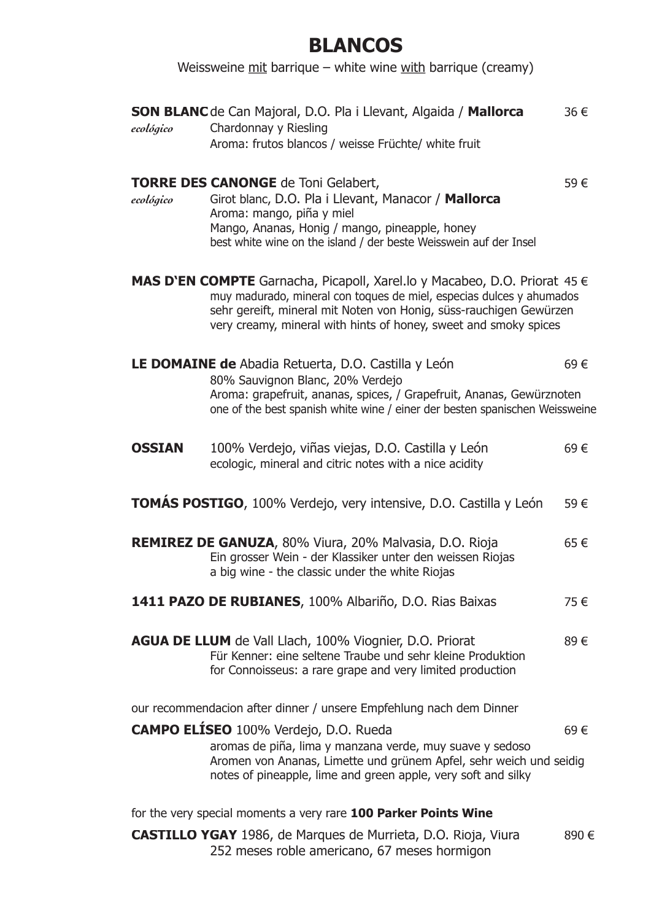## **BLANCOS**

Weissweine  $mit$  barrique – white wine with barrique (creamy)

| ecológico     | <b>SON BLANC</b> de Can Majoral, D.O. Pla i Llevant, Algaida / Mallorca<br>Chardonnay y Riesling                                                                                                                                                                                                       | 36 € |
|---------------|--------------------------------------------------------------------------------------------------------------------------------------------------------------------------------------------------------------------------------------------------------------------------------------------------------|------|
|               | Aroma: frutos blancos / weisse Früchte/ white fruit                                                                                                                                                                                                                                                    |      |
| ecológico     | <b>TORRE DES CANONGE</b> de Toni Gelabert,<br>Girot blanc, D.O. Pla i Llevant, Manacor / Mallorca<br>Aroma: mango, piña y miel<br>Mango, Ananas, Honig / mango, pineapple, honey<br>best white wine on the island / der beste Weisswein auf der Insel                                                  | 59€  |
|               | <b>MAS D'EN COMPTE</b> Garnacha, Picapoll, Xarel.lo y Macabeo, D.O. Priorat 45 $\in$<br>muy madurado, mineral con toques de miel, especias dulces y ahumados<br>sehr gereift, mineral mit Noten von Honig, süss-rauchigen Gewürzen<br>very creamy, mineral with hints of honey, sweet and smoky spices |      |
|               | LE DOMAINE de Abadia Retuerta, D.O. Castilla y León<br>80% Sauvignon Blanc, 20% Verdejo<br>Aroma: grapefruit, ananas, spices, / Grapefruit, Ananas, Gewürznoten<br>one of the best spanish white wine / einer der besten spanischen Weissweine                                                         | 69€  |
| <b>OSSIAN</b> | 100% Verdejo, viñas viejas, D.O. Castilla y León<br>ecologic, mineral and citric notes with a nice acidity                                                                                                                                                                                             | 69€  |
|               | TOMÁS POSTIGO, 100% Verdejo, very intensive, D.O. Castilla y León                                                                                                                                                                                                                                      | 59€  |
|               | <b>REMIREZ DE GANUZA, 80% Viura, 20% Malvasia, D.O. Rioja</b><br>Ein grosser Wein - der Klassiker unter den weissen Riojas<br>a big wine - the classic under the white Riojas                                                                                                                          | 65€  |
|               | 1411 PAZO DE RUBIANES, 100% Albariño, D.O. Rias Baixas                                                                                                                                                                                                                                                 | 75€  |
|               | <b>AGUA DE LLUM</b> de Vall Llach, 100% Viognier, D.O. Priorat<br>Für Kenner: eine seltene Traube und sehr kleine Produktion<br>for Connoisseus: a rare grape and very limited production                                                                                                              | 89€  |
|               | our recommendacion after dinner / unsere Empfehlung nach dem Dinner                                                                                                                                                                                                                                    |      |
|               | <b>CAMPO ELÍSEO</b> 100% Verdejo, D.O. Rueda<br>aromas de piña, lima y manzana verde, muy suave y sedoso<br>Aromen von Ananas, Limette und grünem Apfel, sehr weich und seidig<br>notes of pineapple, lime and green apple, very soft and silky                                                        | 69€  |
|               | for the very special moments a very rare 100 Parker Points Wine                                                                                                                                                                                                                                        |      |
|               | <b>CASTILLO YGAY</b> 1986, de Marques de Murrieta, D.O. Rioja, Viura                                                                                                                                                                                                                                   | 890€ |

252 meses roble americano, 67 meses hormigon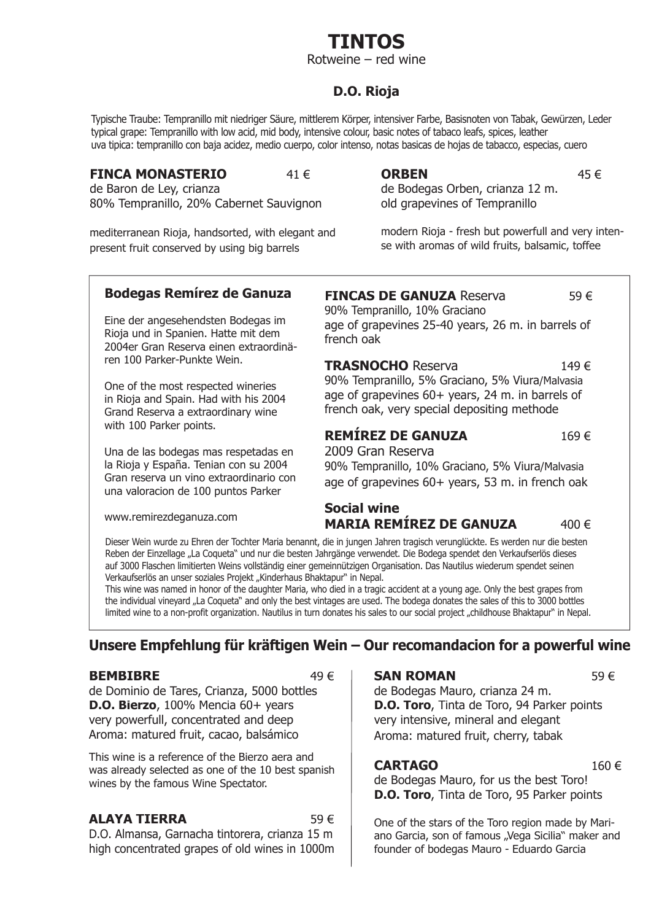Rotweine – red wine

### **D.O. Rioja**

Typische Traube: Tempranillo mit niedriger Säure, mittlerem Körper, intensiver Farbe, Basisnoten von Tabak, Gewürzen, Leder typical grape: Tempranillo with low acid, mid body, intensive colour, basic notes of tabaco leafs, spices, leather uva tipica: tempranillo con baja acidez, medio cuerpo, color intenso, notas basicas de hojas de tabacco, especias, cuero

#### **FINCA MONASTERIO** 41 €

de Baron de Ley, crianza 80% Tempranillo, 20% Cabernet Sauvignon

mediterranean Rioja, handsorted, with elegant and present fruit conserved by using big barrels

#### **ORBEN** 45 €

de Bodegas Orben, crianza 12 m. old grapevines of Tempranillo

modern Rioja - fresh but powerfull and very intense with aromas of wild fruits, balsamic, toffee

### **Bodegas Remírez de Ganuza**

Eine der angesehendsten Bodegas im Rioja und in Spanien. Hatte mit dem 2004er Gran Reserva einen extraordinären 100 Parker-Punkte Wein.

One of the most respected wineries in Rioja and Spain. Had with his 2004 Grand Reserva a extraordinary wine with 100 Parker points.

Una de las bodegas mas respetadas en la Rioja y España. Tenian con su 2004 Gran reserva un vino extraordinario con una valoracion de 100 puntos Parker

www.remirezdeganuza.com

**FINCAS DE GANUZA** Reserva 59 €

90% Tempranillo, 10% Graciano age of grapevines 25-40 years, 26 m. in barrels of french oak

**TRASNOCHO** Reserva 149 € 90% Tempranillo, 5% Graciano, 5% Viura/Malvasia age of grapevines 60+ years, 24 m. in barrels of french oak, very special depositing methode

### **REMÍREZ DE GANUZA** 169 €

2009 Gran Reserva 90% Tempranillo, 10% Graciano, 5% Viura/Malvasia age of grapevines 60+ years, 53 m. in french oak

#### **Social wine MARIA REMÍREZ DE GANUZA** 400 €

Dieser Wein wurde zu Ehren der Tochter Maria benannt, die in jungen Jahren tragisch verunglückte. Es werden nur die besten Reben der Einzellage "La Coqueta" und nur die besten Jahrgänge verwendet. Die Bodega spendet den Verkaufserlös dieses auf 3000 Flaschen limitierten Weins vollständig einer gemeinnützigen Organisation. Das Nautilus wiederum spendet seinen Verkaufserlös an unser soziales Projekt "Kinderhaus Bhaktapur" in Nepal.

This wine was named in honor of the daughter Maria, who died in a tragic accident at a young age. Only the best grapes from the individual vineyard "La Coqueta" and only the best vintages are used. The bodega donates the sales of this to 3000 bottles limited wine to a non-profit organization. Nautilus in turn donates his sales to our social project "childhouse Bhaktapur" in Nepal.

### **Unsere Empfehlung für kräftigen Wein – Our recomandacion for a powerful wine**

#### **BEMBIBRE**  $49 \in$

de Dominio de Tares, Crianza, 5000 bottles **D.O. Bierzo**, 100% Mencia 60+ years very powerfull, concentrated and deep Aroma: matured fruit, cacao, balsámico

This wine is a reference of the Bierzo aera and was already selected as one of the 10 best spanish wines by the famous Wine Spectator.

#### **ALAYA TIERRA** 59 €

D.O. Almansa, Garnacha tintorera, crianza 15 m high concentrated grapes of old wines in 1000m

#### **SAN ROMAN** 59 €

de Bodegas Mauro, crianza 24 m. **D.O. Toro**, Tinta de Toro, 94 Parker points very intensive, mineral and elegant Aroma: matured fruit, cherry, tabak

#### **CARTAGO** 160 €

de Bodegas Mauro, for us the best Toro! **D.O. Toro**, Tinta de Toro, 95 Parker points

One of the stars of the Toro region made by Mariano Garcia, son of famous "Vega Sicilia" maker and founder of bodegas Mauro - Eduardo Garcia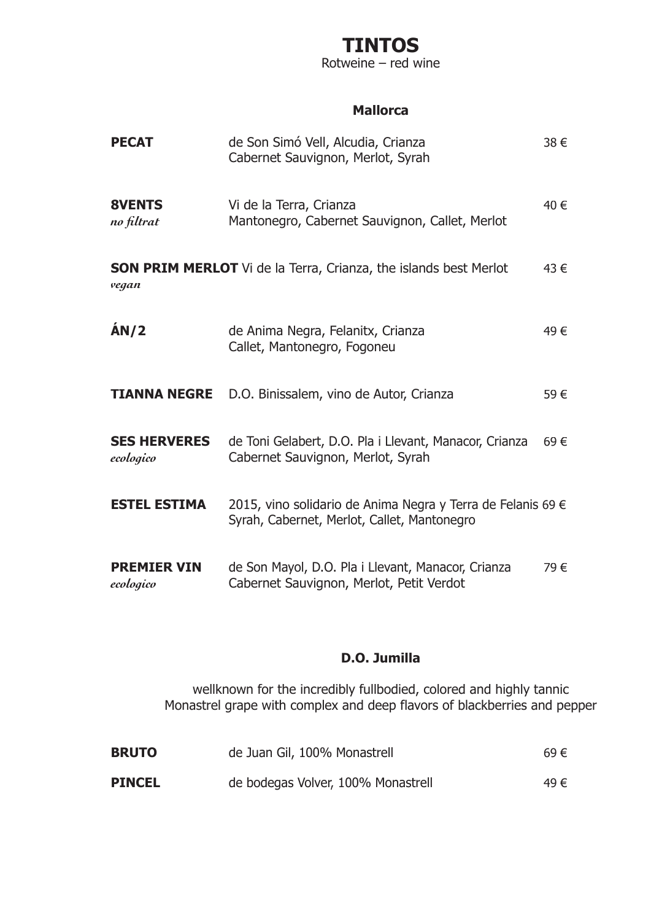Rotweine – red wine

### **Mallorca**

| <b>PECAT</b>                     | de Son Simó Vell, Alcudia, Crianza<br>Cabernet Sauvignon, Merlot, Syrah                                    | 38 € |
|----------------------------------|------------------------------------------------------------------------------------------------------------|------|
| <b>8VENTS</b><br>no filtrat      | Vi de la Terra, Crianza<br>Mantonegro, Cabernet Sauvignon, Callet, Merlot                                  | 40 € |
| vegan                            | <b>SON PRIM MERLOT</b> Vi de la Terra, Crianza, the islands best Merlot                                    | 43 € |
| AN/2                             | de Anima Negra, Felanitx, Crianza<br>Callet, Mantonegro, Fogoneu                                           | 49€  |
| <b>TIANNA NEGRE</b>              | D.O. Binissalem, vino de Autor, Crianza                                                                    | 59€  |
| <b>SES HERVERES</b><br>ecologico | de Toni Gelabert, D.O. Pla i Llevant, Manacor, Crianza<br>Cabernet Sauvignon, Merlot, Syrah                | 69€  |
| <b>ESTEL ESTIMA</b>              | 2015, vino solidario de Anima Negra y Terra de Felanis 69 €<br>Syrah, Cabernet, Merlot, Callet, Mantonegro |      |
| <b>PREMIER VIN</b><br>ecologico  | de Son Mayol, D.O. Pla i Llevant, Manacor, Crianza<br>Cabernet Sauvignon, Merlot, Petit Verdot             | 79 € |

### **D.O. Jumilla**

wellknown for the incredibly fullbodied, colored and highly tannic Monastrel grape with complex and deep flavors of blackberries and pepper

| <b>BRUTO</b>  | de Juan Gil, 100% Monastrell       | 69€  |
|---------------|------------------------------------|------|
| <b>PINCEL</b> | de bodegas Volver, 100% Monastrell | 49 € |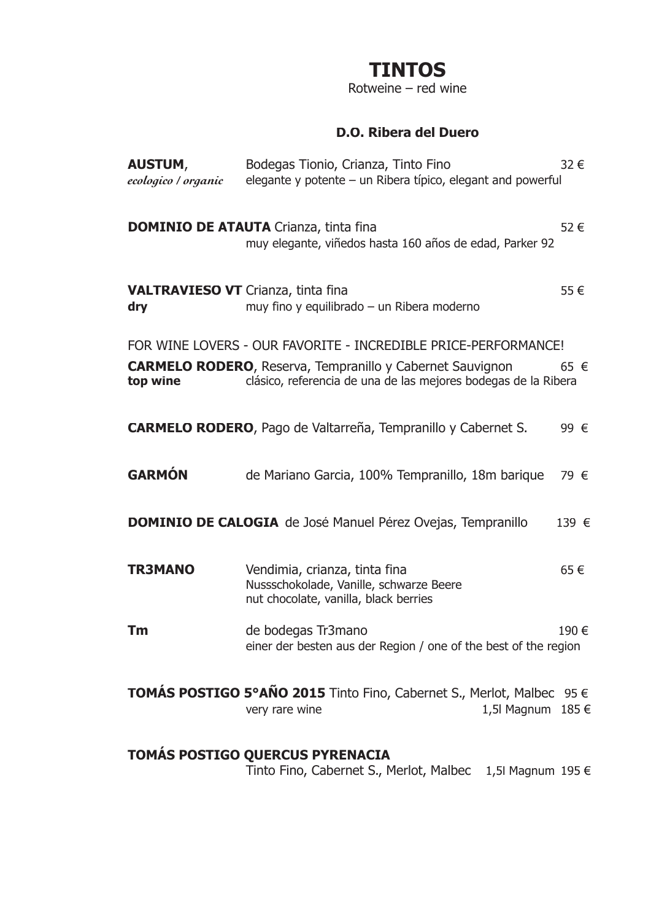Rotweine – red wine

### **D.O. Ribera del Duero**

| <b>AUSTUM,</b><br>ecologico / organic            | Bodegas Tionio, Crianza, Tinto Fino<br>elegante y potente – un Ribera típico, elegant and powerful                                 | 32€   |
|--------------------------------------------------|------------------------------------------------------------------------------------------------------------------------------------|-------|
|                                                  | <b>DOMINIO DE ATAUTA</b> Crianza, tinta fina<br>muy elegante, viñedos hasta 160 años de edad, Parker 92                            | 52€   |
| <b>VALTRAVIESO VT</b> Crianza, tinta fina<br>dry | muy fino y equilibrado - un Ribera moderno                                                                                         | 55€   |
|                                                  | FOR WINE LOVERS - OUR FAVORITE - INCREDIBLE PRICE-PERFORMANCE!                                                                     |       |
| top wine                                         | <b>CARMELO RODERO, Reserva, Tempranillo y Cabernet Sauvignon</b><br>clásico, referencia de una de las mejores bodegas de la Ribera | 65 €  |
|                                                  | <b>CARMELO RODERO, Pago de Valtarreña, Tempranillo y Cabernet S.</b>                                                               | 99 €  |
| <b>GARMÓN</b>                                    | de Mariano Garcia, 100% Tempranillo, 18m barique                                                                                   | 79 €  |
|                                                  | <b>DOMINIO DE CALOGIA</b> de José Manuel Pérez Ovejas, Tempranillo                                                                 | 139 € |
| <b>TR3MANO</b>                                   | Vendimia, crianza, tinta fina<br>Nussschokolade, Vanille, schwarze Beere<br>nut chocolate, vanilla, black berries                  | 65€   |
| Tm                                               | de bodegas Tr3mano<br>einer der besten aus der Region / one of the best of the region                                              | 190 € |
|                                                  | TOMÁS POSTIGO 5°AÑO 2015 Tinto Fino, Cabernet S., Merlot, Malbec 95 €<br>1,5l Magnum 185 €<br>very rare wine                       |       |
|                                                  | TOMÁS POSTIGO QUERCUS PYRENACIA                                                                                                    |       |

Tinto Fino, Cabernet S., Merlot, Malbec 1,5l Magnum 195 €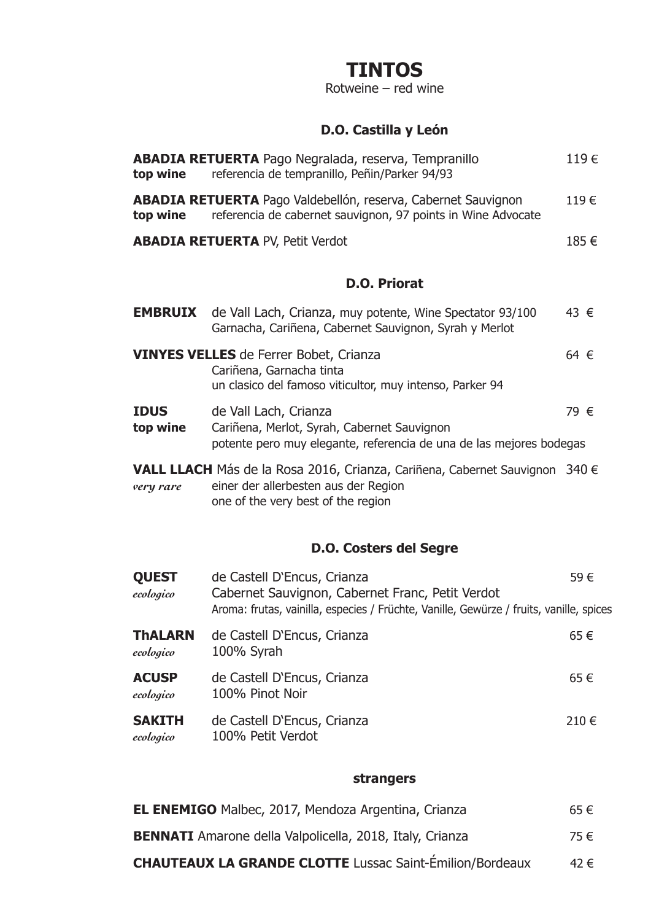Rotweine – red wine

## **D.O. Castilla y León**

| top wine                | <b>ABADIA RETUERTA</b> Pago Negralada, reserva, Tempranillo<br>referencia de tempranillo, Peñin/Parker 94/93                                              | 119€     |
|-------------------------|-----------------------------------------------------------------------------------------------------------------------------------------------------------|----------|
| top wine                | <b>ABADIA RETUERTA</b> Pago Valdebellón, reserva, Cabernet Sauvignon<br>referencia de cabernet sauvignon, 97 points in Wine Advocate                      | 119€     |
|                         | <b>ABADIA RETUERTA PV, Petit Verdot</b>                                                                                                                   | 185€     |
|                         | <b>D.O. Priorat</b>                                                                                                                                       |          |
| <b>EMBRUIX</b>          | de Vall Lach, Crianza, muy potente, Wine Spectator 93/100<br>Garnacha, Cariñena, Cabernet Sauvignon, Syrah y Merlot                                       | 43 €     |
|                         | <b>VINYES VELLES</b> de Ferrer Bobet, Crianza<br>Cariñena, Garnacha tinta<br>un clasico del famoso viticultor, muy intenso, Parker 94                     | 64 $\in$ |
| <b>IDUS</b><br>top wine | de Vall Lach, Crianza<br>Cariñena, Merlot, Syrah, Cabernet Sauvignon<br>potente pero muy elegante, referencia de una de las mejores bodegas               | 79 €     |
| very rare               | VALL LLACH Más de la Rosa 2016, Crianza, Cariñena, Cabernet Sauvignon 340 €<br>einer der allerbesten aus der Region<br>one of the very best of the region |          |

## **D.O. Costers del Segre**

| <b>QUEST</b><br>ecologico   | de Castell D'Encus, Crianza<br>Cabernet Sauvignon, Cabernet Franc, Petit Verdot<br>Aroma: frutas, vainilla, especies / Früchte, Vanille, Gewürze / fruits, vanille, spices | 59€  |
|-----------------------------|----------------------------------------------------------------------------------------------------------------------------------------------------------------------------|------|
| <b>ThALARN</b><br>ecologico | de Castell D'Encus, Crianza<br>100% Syrah                                                                                                                                  | 65€  |
| <b>ACUSP</b><br>ecologico   | de Castell D'Encus, Crianza<br>100% Pinot Noir                                                                                                                             | 65€  |
| <b>SAKITH</b><br>ecologico  | de Castell D'Encus, Crianza<br>100% Petit Verdot                                                                                                                           | 210€ |

#### **strangers**

| <b>EL ENEMIGO</b> Malbec, 2017, Mendoza Argentina, Crianza      | 65€  |
|-----------------------------------------------------------------|------|
| <b>BENNATI</b> Amarone della Valpolicella, 2018, Italy, Crianza | 75 € |
| <b>CHAUTEAUX LA GRANDE CLOTTE Lussac Saint-Émilion/Bordeaux</b> | 42 € |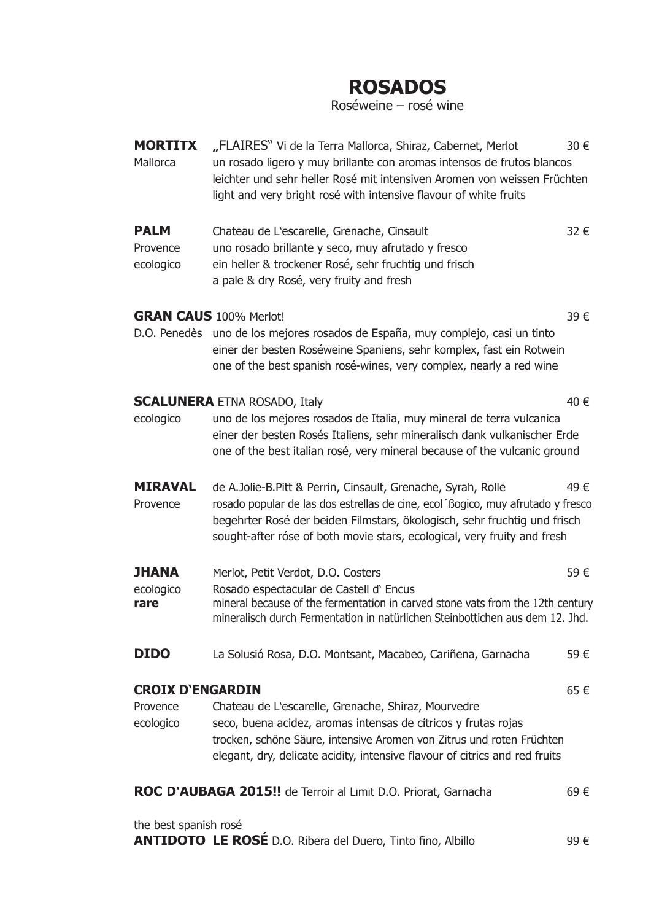# **ROSADOS**

Roséweine – rosé wine

| <b>MORTITX</b><br>Mallorca           | "FLAIRES" Vi de la Terra Mallorca, Shiraz, Cabernet, Merlot<br>30€<br>un rosado ligero y muy brillante con aromas intensos de frutos blancos<br>leichter und sehr heller Rosé mit intensiven Aromen von weissen Früchten<br>light and very bright rosé with intensive flavour of white fruits             |      |  |
|--------------------------------------|-----------------------------------------------------------------------------------------------------------------------------------------------------------------------------------------------------------------------------------------------------------------------------------------------------------|------|--|
| <b>PALM</b><br>Provence<br>ecologico | Chateau de L'escarelle, Grenache, Cinsault<br>uno rosado brillante y seco, muy afrutado y fresco<br>ein heller & trockener Rosé, sehr fruchtig und frisch<br>a pale & dry Rosé, very fruity and fresh                                                                                                     | 32 € |  |
|                                      | <b>GRAN CAUS</b> 100% Merlot!                                                                                                                                                                                                                                                                             | 39€  |  |
|                                      | D.O. Penedès uno de los mejores rosados de España, muy complejo, casi un tinto<br>einer der besten Roséweine Spaniens, sehr komplex, fast ein Rotwein<br>one of the best spanish rosé-wines, very complex, nearly a red wine                                                                              |      |  |
|                                      | <b>SCALUNERA ETNA ROSADO, Italy</b>                                                                                                                                                                                                                                                                       | 40 € |  |
| ecologico                            | uno de los mejores rosados de Italia, muy mineral de terra vulcanica<br>einer der besten Rosés Italiens, sehr mineralisch dank vulkanischer Erde<br>one of the best italian rosé, very mineral because of the vulcanic ground                                                                             |      |  |
| <b>MIRAVAL</b><br>Provence           | de A.Jolie-B.Pitt & Perrin, Cinsault, Grenache, Syrah, Rolle<br>rosado popular de las dos estrellas de cine, ecol 'Bogico, muy afrutado y fresco<br>begehrter Rosé der beiden Filmstars, ökologisch, sehr fruchtig und frisch<br>sought-after róse of both movie stars, ecological, very fruity and fresh | 49€  |  |
| <b>JHANA</b>                         | Merlot, Petit Verdot, D.O. Costers                                                                                                                                                                                                                                                                        | 59€  |  |
| ecologico<br>rare                    | Rosado espectacular de Castell d'Encus<br>mineral because of the fermentation in carved stone vats from the 12th century<br>mineralisch durch Fermentation in natürlichen Steinbottichen aus dem 12. Jhd.                                                                                                 |      |  |
| <b>DIDO</b>                          | La Solusió Rosa, D.O. Montsant, Macabeo, Cariñena, Garnacha                                                                                                                                                                                                                                               | 59€  |  |
| <b>CROIX D'ENGARDIN</b>              |                                                                                                                                                                                                                                                                                                           | 65€  |  |
| Provence<br>ecologico                | Chateau de L'escarelle, Grenache, Shiraz, Mourvedre<br>seco, buena acidez, aromas intensas de cítricos y frutas rojas<br>trocken, schöne Säure, intensive Aromen von Zitrus und roten Früchten<br>elegant, dry, delicate acidity, intensive flavour of citrics and red fruits                             |      |  |
|                                      | ROC D'AUBAGA 2015!! de Terroir al Limit D.O. Priorat, Garnacha                                                                                                                                                                                                                                            | 69€  |  |
| the best spanish rosé                | <b>ANTIDOTO LE ROSÉ</b> D.O. Ribera del Duero, Tinto fino, Albillo                                                                                                                                                                                                                                        | 99€  |  |